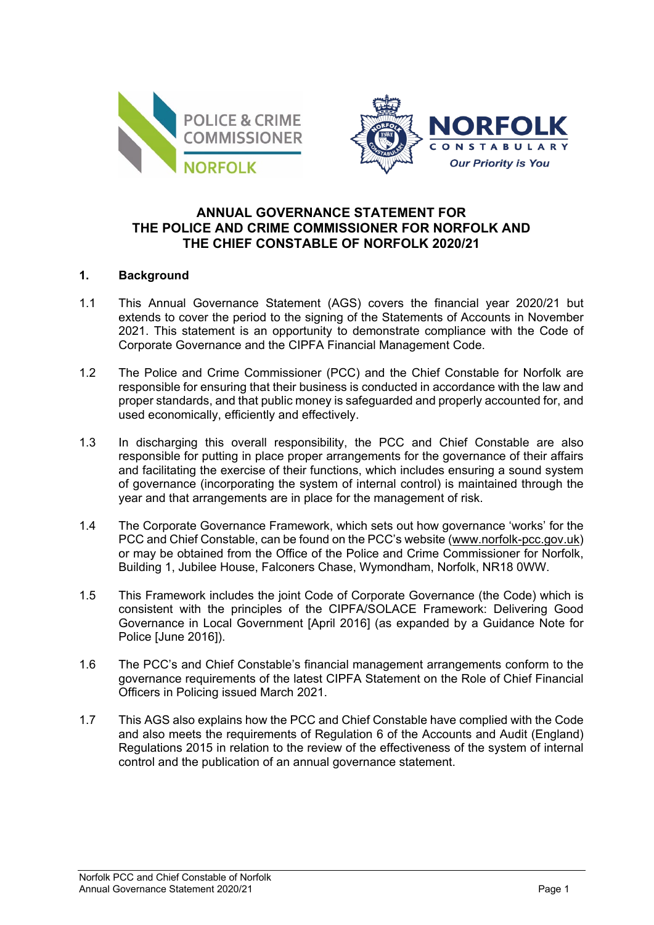



# **ANNUAL GOVERNANCE STATEMENT FOR THE POLICE AND CRIME COMMISSIONER FOR NORFOLK AND THE CHIEF CONSTABLE OF NORFOLK 2020/21**

## **1. Background**

- 1.1 This Annual Governance Statement (AGS) covers the financial year 2020/21 but extends to cover the period to the signing of the Statements of Accounts in November 2021. This statement is an opportunity to demonstrate compliance with the Code of Corporate Governance and the CIPFA Financial Management Code.
- 1.2 The Police and Crime Commissioner (PCC) and the Chief Constable for Norfolk are responsible for ensuring that their business is conducted in accordance with the law and proper standards, and that public money is safeguarded and properly accounted for, and used economically, efficiently and effectively.
- 1.3 In discharging this overall responsibility, the PCC and Chief Constable are also responsible for putting in place proper arrangements for the governance of their affairs and facilitating the exercise of their functions, which includes ensuring a sound system of governance (incorporating the system of internal control) is maintained through the year and that arrangements are in place for the management of risk.
- 1.4 The Corporate Governance Framework, which sets out how governance 'works' for the PCC and Chief Constable, can be found on the PCC's website [\(www.norfolk-pcc.gov.uk\)](http://www.norfolk-pcc.gov.uk/) or may be obtained from the Office of the Police and Crime Commissioner for Norfolk, Building 1, Jubilee House, Falconers Chase, Wymondham, Norfolk, NR18 0WW.
- 1.5 This Framework includes the joint Code of Corporate Governance (the Code) which is consistent with the principles of the CIPFA/SOLACE Framework: Delivering Good Governance in Local Government [April 2016] (as expanded by a Guidance Note for Police [June 2016]).
- 1.6 The PCC's and Chief Constable's financial management arrangements conform to the governance requirements of the latest CIPFA Statement on the Role of Chief Financial Officers in Policing issued March 2021.
- 1.7 This AGS also explains how the PCC and Chief Constable have complied with the Code and also meets the requirements of Regulation 6 of the Accounts and Audit (England) Regulations 2015 in relation to the review of the effectiveness of the system of internal control and the publication of an annual governance statement.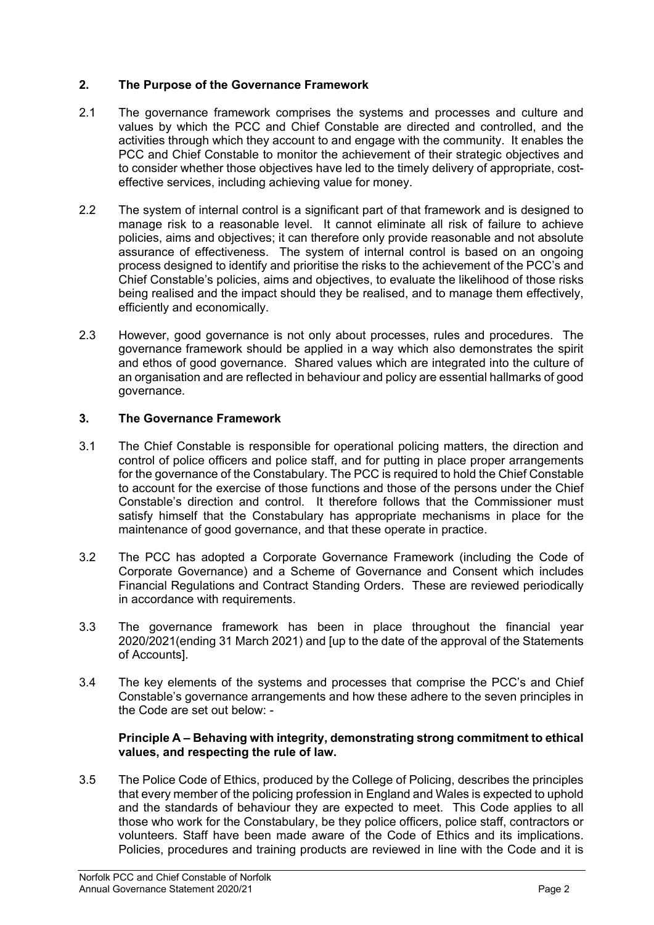# **2. The Purpose of the Governance Framework**

- 2.1 The governance framework comprises the systems and processes and culture and values by which the PCC and Chief Constable are directed and controlled, and the activities through which they account to and engage with the community. It enables the PCC and Chief Constable to monitor the achievement of their strategic objectives and to consider whether those objectives have led to the timely delivery of appropriate, costeffective services, including achieving value for money.
- 2.2 The system of internal control is a significant part of that framework and is designed to manage risk to a reasonable level. It cannot eliminate all risk of failure to achieve policies, aims and objectives; it can therefore only provide reasonable and not absolute assurance of effectiveness. The system of internal control is based on an ongoing process designed to identify and prioritise the risks to the achievement of the PCC's and Chief Constable's policies, aims and objectives, to evaluate the likelihood of those risks being realised and the impact should they be realised, and to manage them effectively, efficiently and economically.
- 2.3 However, good governance is not only about processes, rules and procedures. The governance framework should be applied in a way which also demonstrates the spirit and ethos of good governance. Shared values which are integrated into the culture of an organisation and are reflected in behaviour and policy are essential hallmarks of good governance.

# **3. The Governance Framework**

- 3.1 The Chief Constable is responsible for operational policing matters, the direction and control of police officers and police staff, and for putting in place proper arrangements for the governance of the Constabulary. The PCC is required to hold the Chief Constable to account for the exercise of those functions and those of the persons under the Chief Constable's direction and control. It therefore follows that the Commissioner must satisfy himself that the Constabulary has appropriate mechanisms in place for the maintenance of good governance, and that these operate in practice.
- 3.2 The PCC has adopted a Corporate Governance Framework (including the Code of Corporate Governance) and a Scheme of Governance and Consent which includes Financial Regulations and Contract Standing Orders. These are reviewed periodically in accordance with requirements.
- 3.3 The governance framework has been in place throughout the financial year 2020/2021(ending 31 March 2021) and [up to the date of the approval of the Statements of Accounts].
- 3.4 The key elements of the systems and processes that comprise the PCC's and Chief Constable's governance arrangements and how these adhere to the seven principles in the Code are set out below: -

## **Principle A – Behaving with integrity, demonstrating strong commitment to ethical values, and respecting the rule of law.**

3.5 The Police Code of Ethics, produced by the College of Policing, describes the principles that every member of the policing profession in England and Wales is expected to uphold and the standards of behaviour they are expected to meet. This Code applies to all those who work for the Constabulary, be they police officers, police staff, contractors or volunteers. Staff have been made aware of the Code of Ethics and its implications. Policies, procedures and training products are reviewed in line with the Code and it is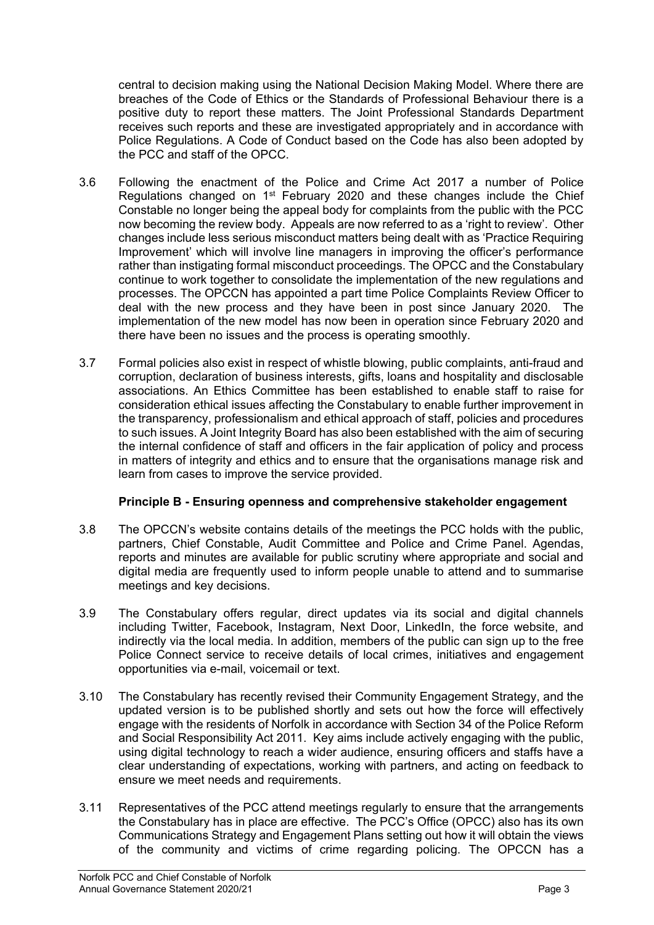central to decision making using the National Decision Making Model. Where there are breaches of the Code of Ethics or the Standards of Professional Behaviour there is a positive duty to report these matters. The Joint Professional Standards Department receives such reports and these are investigated appropriately and in accordance with Police Regulations. A Code of Conduct based on the Code has also been adopted by the PCC and staff of the OPCC.

- 3.6 Following the enactment of the Police and Crime Act 2017 a number of Police Regulations changed on  $1<sup>st</sup>$  February 2020 and these changes include the Chief Constable no longer being the appeal body for complaints from the public with the PCC now becoming the review body. Appeals are now referred to as a 'right to review'. Other changes include less serious misconduct matters being dealt with as 'Practice Requiring Improvement' which will involve line managers in improving the officer's performance rather than instigating formal misconduct proceedings. The OPCC and the Constabulary continue to work together to consolidate the implementation of the new regulations and processes. The OPCCN has appointed a part time Police Complaints Review Officer to deal with the new process and they have been in post since January 2020. The implementation of the new model has now been in operation since February 2020 and there have been no issues and the process is operating smoothly.
- 3.7 Formal policies also exist in respect of whistle blowing, public complaints, anti-fraud and corruption, declaration of business interests, gifts, loans and hospitality and disclosable associations. An Ethics Committee has been established to enable staff to raise for consideration ethical issues affecting the Constabulary to enable further improvement in the transparency, professionalism and ethical approach of staff, policies and procedures to such issues. A Joint Integrity Board has also been established with the aim of securing the internal confidence of staff and officers in the fair application of policy and process in matters of integrity and ethics and to ensure that the organisations manage risk and learn from cases to improve the service provided.

# **Principle B - Ensuring openness and comprehensive stakeholder engagement**

- 3.8 The OPCCN's website contains details of the meetings the PCC holds with the public, partners, Chief Constable, Audit Committee and Police and Crime Panel. Agendas, reports and minutes are available for public scrutiny where appropriate and social and digital media are frequently used to inform people unable to attend and to summarise meetings and key decisions.
- 3.9 The Constabulary offers regular, direct updates via its social and digital channels including Twitter, Facebook, Instagram, Next Door, LinkedIn, the force website, and indirectly via the local media. In addition, members of the public can sign up to the free Police Connect service to receive details of local crimes, initiatives and engagement opportunities via e-mail, voicemail or text.
- 3.10 The Constabulary has recently revised their Community Engagement Strategy, and the updated version is to be published shortly and sets out how the force will effectively engage with the residents of Norfolk in accordance with Section 34 of the Police Reform and Social Responsibility Act 2011. Key aims include actively engaging with the public, using digital technology to reach a wider audience, ensuring officers and staffs have a clear understanding of expectations, working with partners, and acting on feedback to ensure we meet needs and requirements.
- 3.11 Representatives of the PCC attend meetings regularly to ensure that the arrangements the Constabulary has in place are effective. The PCC's Office (OPCC) also has its own Communications Strategy and Engagement Plans setting out how it will obtain the views of the community and victims of crime regarding policing. The OPCCN has a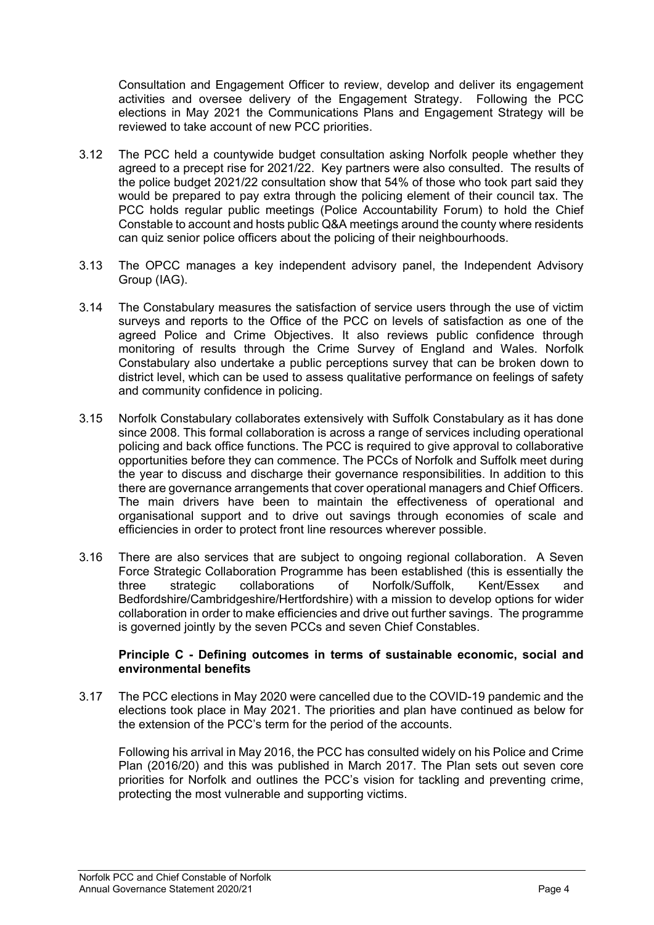Consultation and Engagement Officer to review, develop and deliver its engagement activities and oversee delivery of the Engagement Strategy. Following the PCC elections in May 2021 the Communications Plans and Engagement Strategy will be reviewed to take account of new PCC priorities.

- 3.12 The PCC held a countywide budget consultation asking Norfolk people whether they agreed to a precept rise for 2021/22. Key partners were also consulted. The results of the police budget 2021/22 consultation show that 54% of those who took part said they would be prepared to pay extra through the policing element of their council tax. The PCC holds regular public meetings (Police Accountability Forum) to hold the Chief Constable to account and hosts public Q&A meetings around the county where residents can quiz senior police officers about the policing of their neighbourhoods.
- 3.13 The OPCC manages a key independent advisory panel, the Independent Advisory Group (IAG).
- 3.14 The Constabulary measures the satisfaction of service users through the use of victim surveys and reports to the Office of the PCC on levels of satisfaction as one of the agreed Police and Crime Objectives. It also reviews public confidence through monitoring of results through the Crime Survey of England and Wales. Norfolk Constabulary also undertake a public perceptions survey that can be broken down to district level, which can be used to assess qualitative performance on feelings of safety and community confidence in policing.
- 3.15 Norfolk Constabulary collaborates extensively with Suffolk Constabulary as it has done since 2008. This formal collaboration is across a range of services including operational policing and back office functions. The PCC is required to give approval to collaborative opportunities before they can commence. The PCCs of Norfolk and Suffolk meet during the year to discuss and discharge their governance responsibilities. In addition to this there are governance arrangements that cover operational managers and Chief Officers. The main drivers have been to maintain the effectiveness of operational and organisational support and to drive out savings through economies of scale and efficiencies in order to protect front line resources wherever possible.
- 3.16 There are also services that are subject to ongoing regional collaboration. A Seven Force Strategic Collaboration Programme has been established (this is essentially the three strategic collaborations of Norfolk/Suffolk, Kent/Essex and Bedfordshire/Cambridgeshire/Hertfordshire) with a mission to develop options for wider collaboration in order to make efficiencies and drive out further savings. The programme is governed jointly by the seven PCCs and seven Chief Constables.

### **Principle C - Defining outcomes in terms of sustainable economic, social and environmental benefits**

3.17 The PCC elections in May 2020 were cancelled due to the COVID-19 pandemic and the elections took place in May 2021. The priorities and plan have continued as below for the extension of the PCC's term for the period of the accounts.

Following his arrival in May 2016, the PCC has consulted widely on his Police and Crime Plan (2016/20) and this was published in March 2017. The Plan sets out seven core priorities for Norfolk and outlines the PCC's vision for tackling and preventing crime, protecting the most vulnerable and supporting victims.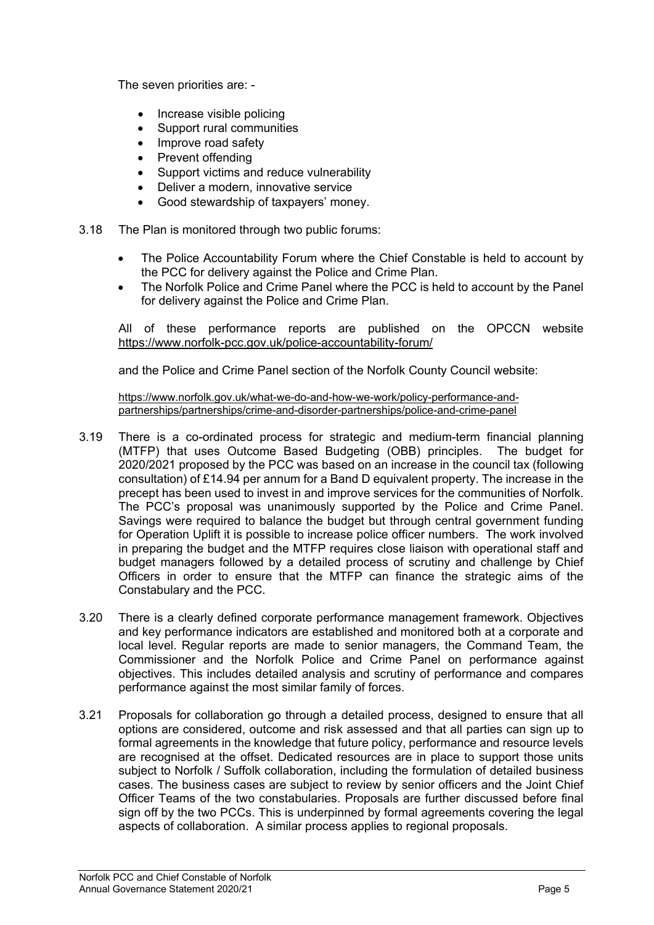The seven priorities are: -

- Increase visible policing
- Support rural communities
- Improve road safety
- Prevent offending
- Support victims and reduce vulnerability
- Deliver a modern, innovative service
- Good stewardship of taxpayers' money.
- 3.18 The Plan is monitored through two public forums:
	- The Police Accountability Forum where the Chief Constable is held to account by the PCC for delivery against the Police and Crime Plan.
	- The Norfolk Police and Crime Panel where the PCC is held to account by the Panel for delivery against the Police and Crime Plan.

All of these performance reports are published on the OPCCN website <https://www.norfolk-pcc.gov.uk/police-accountability-forum/>

and the Police and Crime Panel section of the Norfolk County Council website:

[https://www.norfolk.gov.uk/what-we-do-and-how-we-work/policy-performance-and](https://www.norfolk.gov.uk/what-we-do-and-how-we-work/policy-performance-and-partnerships/partnerships/crime-and-disorder-partnerships/police-and-crime-panel)[partnerships/partnerships/crime-and-disorder-partnerships/police-and-crime-panel](https://www.norfolk.gov.uk/what-we-do-and-how-we-work/policy-performance-and-partnerships/partnerships/crime-and-disorder-partnerships/police-and-crime-panel)

- 3.19 There is a co-ordinated process for strategic and medium-term financial planning (MTFP) that uses Outcome Based Budgeting (OBB) principles. The budget for 2020/2021 proposed by the PCC was based on an increase in the council tax (following consultation) of £14.94 per annum for a Band D equivalent property. The increase in the precept has been used to invest in and improve services for the communities of Norfolk. The PCC's proposal was unanimously supported by the Police and Crime Panel. Savings were required to balance the budget but through central government funding for Operation Uplift it is possible to increase police officer numbers. The work involved in preparing the budget and the MTFP requires close liaison with operational staff and budget managers followed by a detailed process of scrutiny and challenge by Chief Officers in order to ensure that the MTFP can finance the strategic aims of the Constabulary and the PCC.
- 3.20 There is a clearly defined corporate performance management framework. Objectives and key performance indicators are established and monitored both at a corporate and local level. Regular reports are made to senior managers, the Command Team, the Commissioner and the Norfolk Police and Crime Panel on performance against objectives. This includes detailed analysis and scrutiny of performance and compares performance against the most similar family of forces.
- 3.21 Proposals for collaboration go through a detailed process, designed to ensure that all options are considered, outcome and risk assessed and that all parties can sign up to formal agreements in the knowledge that future policy, performance and resource levels are recognised at the offset. Dedicated resources are in place to support those units subject to Norfolk / Suffolk collaboration, including the formulation of detailed business cases. The business cases are subject to review by senior officers and the Joint Chief Officer Teams of the two constabularies. Proposals are further discussed before final sign off by the two PCCs. This is underpinned by formal agreements covering the legal aspects of collaboration. A similar process applies to regional proposals.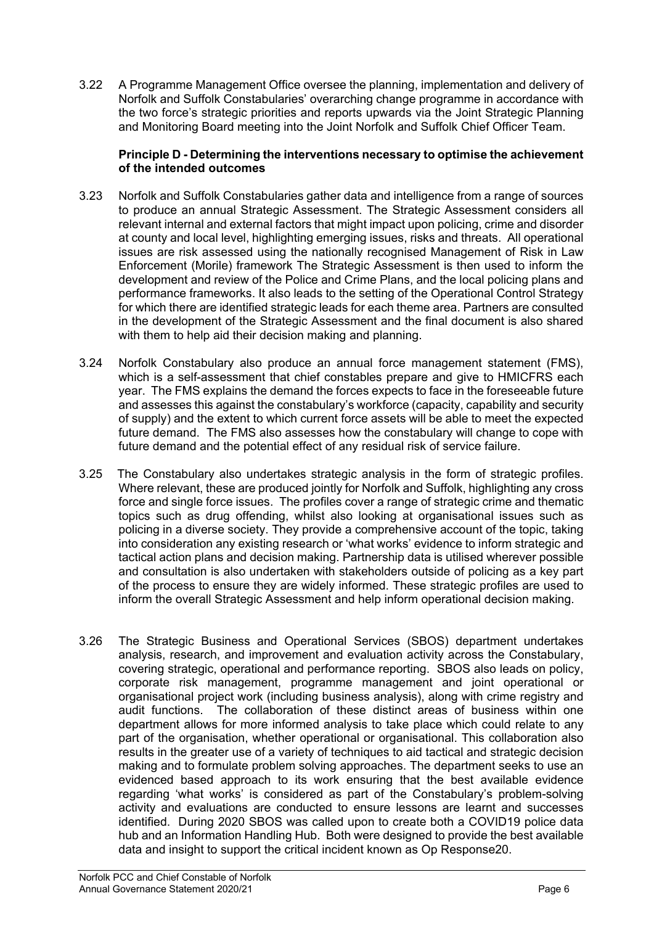3.22 A Programme Management Office oversee the planning, implementation and delivery of Norfolk and Suffolk Constabularies' overarching change programme in accordance with the two force's strategic priorities and reports upwards via the Joint Strategic Planning and Monitoring Board meeting into the Joint Norfolk and Suffolk Chief Officer Team.

## **Principle D - Determining the interventions necessary to optimise the achievement of the intended outcomes**

- 3.23 Norfolk and Suffolk Constabularies gather data and intelligence from a range of sources to produce an annual Strategic Assessment. The Strategic Assessment considers all relevant internal and external factors that might impact upon policing, crime and disorder at county and local level, highlighting emerging issues, risks and threats. All operational issues are risk assessed using the nationally recognised Management of Risk in Law Enforcement (Morile) framework The Strategic Assessment is then used to inform the development and review of the Police and Crime Plans, and the local policing plans and performance frameworks. It also leads to the setting of the Operational Control Strategy for which there are identified strategic leads for each theme area. Partners are consulted in the development of the Strategic Assessment and the final document is also shared with them to help aid their decision making and planning.
- 3.24 Norfolk Constabulary also produce an annual force management statement (FMS), which is a self-assessment that chief constables prepare and give to HMICFRS each year. The FMS explains the demand the forces expects to face in the foreseeable future and assesses this against the constabulary's workforce (capacity, capability and security of supply) and the extent to which current force assets will be able to meet the expected future demand. The FMS also assesses how the constabulary will change to cope with future demand and the potential effect of any residual risk of service failure.
- 3.25 The Constabulary also undertakes strategic analysis in the form of strategic profiles. Where relevant, these are produced jointly for Norfolk and Suffolk, highlighting any cross force and single force issues. The profiles cover a range of strategic crime and thematic topics such as drug offending, whilst also looking at organisational issues such as policing in a diverse society. They provide a comprehensive account of the topic, taking into consideration any existing research or 'what works' evidence to inform strategic and tactical action plans and decision making. Partnership data is utilised wherever possible and consultation is also undertaken with stakeholders outside of policing as a key part of the process to ensure they are widely informed. These strategic profiles are used to inform the overall Strategic Assessment and help inform operational decision making.
- 3.26 The Strategic Business and Operational Services (SBOS) department undertakes analysis, research, and improvement and evaluation activity across the Constabulary, covering strategic, operational and performance reporting. SBOS also leads on policy, corporate risk management, programme management and joint operational or organisational project work (including business analysis), along with crime registry and audit functions. The collaboration of these distinct areas of business within one department allows for more informed analysis to take place which could relate to any part of the organisation, whether operational or organisational. This collaboration also results in the greater use of a variety of techniques to aid tactical and strategic decision making and to formulate problem solving approaches. The department seeks to use an evidenced based approach to its work ensuring that the best available evidence regarding 'what works' is considered as part of the Constabulary's problem-solving activity and evaluations are conducted to ensure lessons are learnt and successes identified. During 2020 SBOS was called upon to create both a COVID19 police data hub and an Information Handling Hub. Both were designed to provide the best available data and insight to support the critical incident known as Op Response20.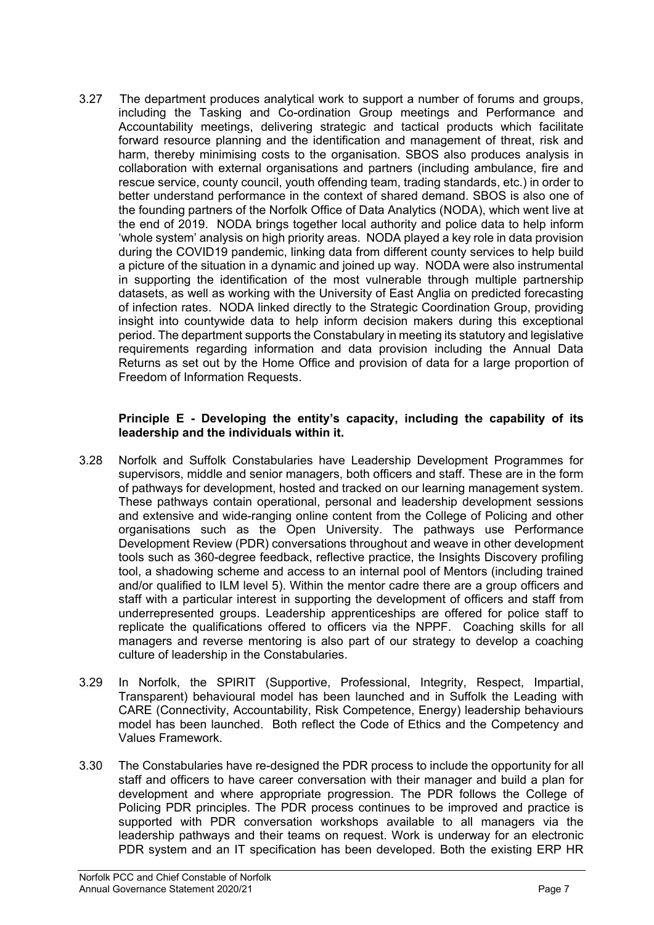3.27 The department produces analytical work to support a number of forums and groups, including the Tasking and Co-ordination Group meetings and Performance and Accountability meetings, delivering strategic and tactical products which facilitate forward resource planning and the identification and management of threat, risk and harm, thereby minimising costs to the organisation. SBOS also produces analysis in collaboration with external organisations and partners (including ambulance, fire and rescue service, county council, youth offending team, trading standards, etc.) in order to better understand performance in the context of shared demand. SBOS is also one of the founding partners of the Norfolk Office of Data Analytics (NODA), which went live at the end of 2019. NODA brings together local authority and police data to help inform 'whole system' analysis on high priority areas. NODA played a key role in data provision during the COVID19 pandemic, linking data from different county services to help build a picture of the situation in a dynamic and joined up way. NODA were also instrumental in supporting the identification of the most vulnerable through multiple partnership datasets, as well as working with the University of East Anglia on predicted forecasting of infection rates. NODA linked directly to the Strategic Coordination Group, providing insight into countywide data to help inform decision makers during this exceptional period. The department supports the Constabulary in meeting its statutory and legislative requirements regarding information and data provision including the Annual Data Returns as set out by the Home Office and provision of data for a large proportion of Freedom of Information Requests.

### **Principle E - Developing the entity's capacity, including the capability of its leadership and the individuals within it.**

- 3.28 Norfolk and Suffolk Constabularies have Leadership Development Programmes for supervisors, middle and senior managers, both officers and staff. These are in the form of pathways for development, hosted and tracked on our learning management system. These pathways contain operational, personal and leadership development sessions and extensive and wide-ranging online content from the College of Policing and other organisations such as the Open University. The pathways use Performance Development Review (PDR) conversations throughout and weave in other development tools such as 360-degree feedback, reflective practice, the Insights Discovery profiling tool, a shadowing scheme and access to an internal pool of Mentors (including trained and/or qualified to ILM level 5). Within the mentor cadre there are a group officers and staff with a particular interest in supporting the development of officers and staff from underrepresented groups. Leadership apprenticeships are offered for police staff to replicate the qualifications offered to officers via the NPPF. Coaching skills for all managers and reverse mentoring is also part of our strategy to develop a coaching culture of leadership in the Constabularies.
- 3.29 In Norfolk, the SPIRIT (Supportive, Professional, Integrity, Respect, Impartial, Transparent) behavioural model has been launched and in Suffolk the Leading with CARE (Connectivity, Accountability, Risk Competence, Energy) leadership behaviours model has been launched. Both reflect the Code of Ethics and the Competency and Values Framework.
- 3.30 The Constabularies have re-designed the PDR process to include the opportunity for all staff and officers to have career conversation with their manager and build a plan for development and where appropriate progression. The PDR follows the College of Policing PDR principles. The PDR process continues to be improved and practice is supported with PDR conversation workshops available to all managers via the leadership pathways and their teams on request. Work is underway for an electronic PDR system and an IT specification has been developed. Both the existing ERP HR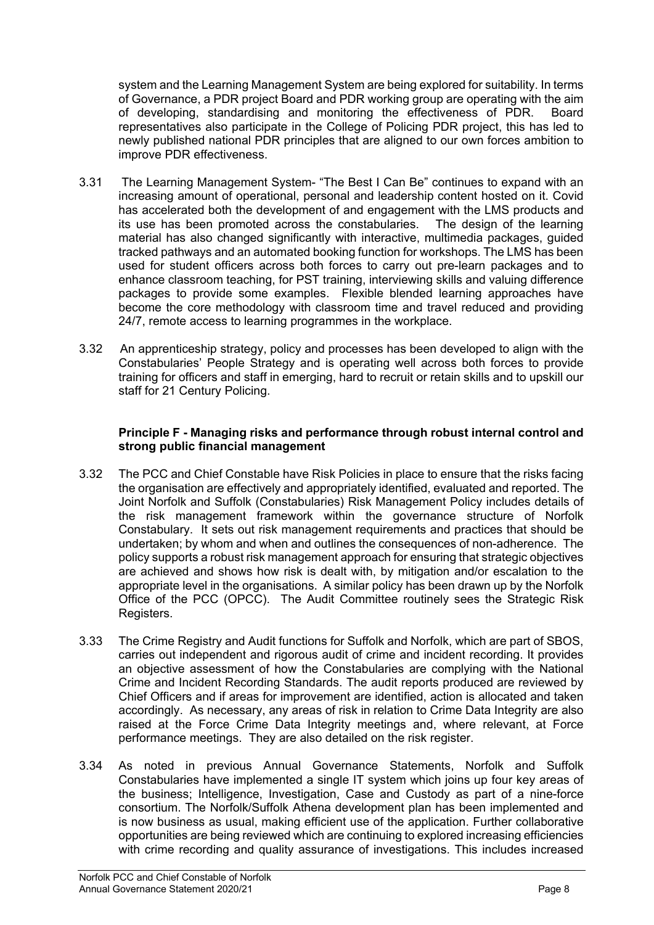system and the Learning Management System are being explored for suitability. In terms of Governance, a PDR project Board and PDR working group are operating with the aim of developing, standardising and monitoring the effectiveness of PDR. Board representatives also participate in the College of Policing PDR project, this has led to newly published national PDR principles that are aligned to our own forces ambition to improve PDR effectiveness.

- 3.31 The Learning Management System- "The Best I Can Be" continues to expand with an increasing amount of operational, personal and leadership content hosted on it. Covid has accelerated both the development of and engagement with the LMS products and its use has been promoted across the constabularies. The design of the learning material has also changed significantly with interactive, multimedia packages, guided tracked pathways and an automated booking function for workshops. The LMS has been used for student officers across both forces to carry out pre-learn packages and to enhance classroom teaching, for PST training, interviewing skills and valuing difference packages to provide some examples. Flexible blended learning approaches have become the core methodology with classroom time and travel reduced and providing 24/7, remote access to learning programmes in the workplace.
- 3.32 An apprenticeship strategy, policy and processes has been developed to align with the Constabularies' People Strategy and is operating well across both forces to provide training for officers and staff in emerging, hard to recruit or retain skills and to upskill our staff for 21 Century Policing.

# **Principle F - Managing risks and performance through robust internal control and strong public financial management**

- 3.32 The PCC and Chief Constable have Risk Policies in place to ensure that the risks facing the organisation are effectively and appropriately identified, evaluated and reported. The Joint Norfolk and Suffolk (Constabularies) Risk Management Policy includes details of the risk management framework within the governance structure of Norfolk Constabulary. It sets out risk management requirements and practices that should be undertaken; by whom and when and outlines the consequences of non-adherence. The policy supports a robust risk management approach for ensuring that strategic objectives are achieved and shows how risk is dealt with, by mitigation and/or escalation to the appropriate level in the organisations. A similar policy has been drawn up by the Norfolk Office of the PCC (OPCC). The Audit Committee routinely sees the Strategic Risk Registers.
- 3.33 The Crime Registry and Audit functions for Suffolk and Norfolk, which are part of SBOS, carries out independent and rigorous audit of crime and incident recording. It provides an objective assessment of how the Constabularies are complying with the National Crime and Incident Recording Standards. The audit reports produced are reviewed by Chief Officers and if areas for improvement are identified, action is allocated and taken accordingly. As necessary, any areas of risk in relation to Crime Data Integrity are also raised at the Force Crime Data Integrity meetings and, where relevant, at Force performance meetings. They are also detailed on the risk register.
- 3.34 As noted in previous Annual Governance Statements, Norfolk and Suffolk Constabularies have implemented a single IT system which joins up four key areas of the business; Intelligence, Investigation, Case and Custody as part of a nine-force consortium. The Norfolk/Suffolk Athena development plan has been implemented and is now business as usual, making efficient use of the application. Further collaborative opportunities are being reviewed which are continuing to explored increasing efficiencies with crime recording and quality assurance of investigations. This includes increased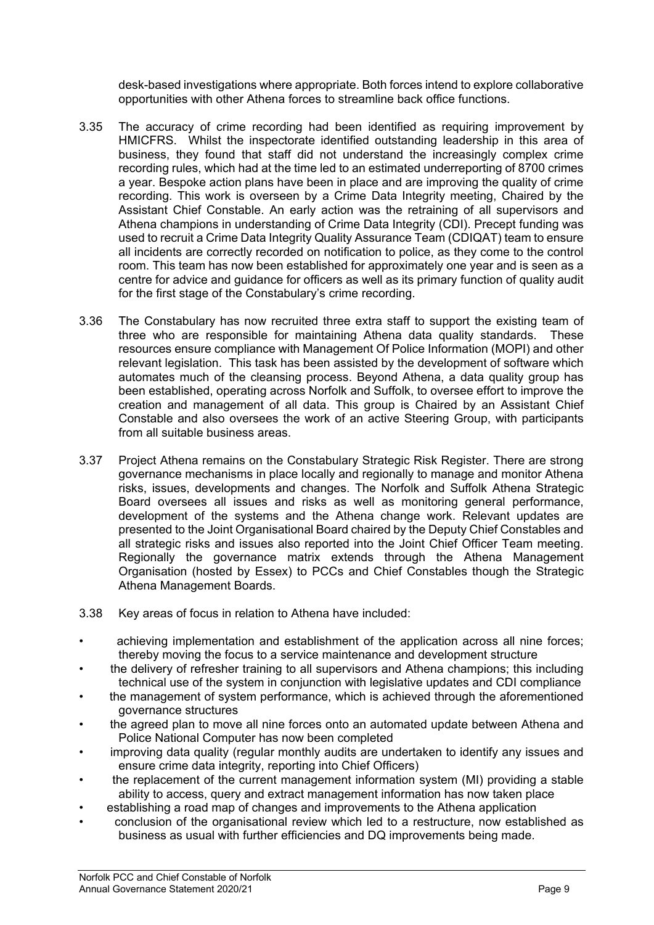desk-based investigations where appropriate. Both forces intend to explore collaborative opportunities with other Athena forces to streamline back office functions.

- 3.35 The accuracy of crime recording had been identified as requiring improvement by HMICFRS. Whilst the inspectorate identified outstanding leadership in this area of business, they found that staff did not understand the increasingly complex crime recording rules, which had at the time led to an estimated underreporting of 8700 crimes a year. Bespoke action plans have been in place and are improving the quality of crime recording. This work is overseen by a Crime Data Integrity meeting, Chaired by the Assistant Chief Constable. An early action was the retraining of all supervisors and Athena champions in understanding of Crime Data Integrity (CDI). Precept funding was used to recruit a Crime Data Integrity Quality Assurance Team (CDIQAT) team to ensure all incidents are correctly recorded on notification to police, as they come to the control room. This team has now been established for approximately one year and is seen as a centre for advice and guidance for officers as well as its primary function of quality audit for the first stage of the Constabulary's crime recording.
- 3.36 The Constabulary has now recruited three extra staff to support the existing team of three who are responsible for maintaining Athena data quality standards. These resources ensure compliance with Management Of Police Information (MOPI) and other relevant legislation. This task has been assisted by the development of software which automates much of the cleansing process. Beyond Athena, a data quality group has been established, operating across Norfolk and Suffolk, to oversee effort to improve the creation and management of all data. This group is Chaired by an Assistant Chief Constable and also oversees the work of an active Steering Group, with participants from all suitable business areas.
- 3.37 Project Athena remains on the Constabulary Strategic Risk Register. There are strong governance mechanisms in place locally and regionally to manage and monitor Athena risks, issues, developments and changes. The Norfolk and Suffolk Athena Strategic Board oversees all issues and risks as well as monitoring general performance, development of the systems and the Athena change work. Relevant updates are presented to the Joint Organisational Board chaired by the Deputy Chief Constables and all strategic risks and issues also reported into the Joint Chief Officer Team meeting. Regionally the governance matrix extends through the Athena Management Organisation (hosted by Essex) to PCCs and Chief Constables though the Strategic Athena Management Boards.
- 3.38 Key areas of focus in relation to Athena have included:
- achieving implementation and establishment of the application across all nine forces; thereby moving the focus to a service maintenance and development structure
- the delivery of refresher training to all supervisors and Athena champions; this including technical use of the system in conjunction with legislative updates and CDI compliance
- the management of system performance, which is achieved through the aforementioned governance structures
- the agreed plan to move all nine forces onto an automated update between Athena and Police National Computer has now been completed
- improving data quality (regular monthly audits are undertaken to identify any issues and ensure crime data integrity, reporting into Chief Officers)
- the replacement of the current management information system (MI) providing a stable ability to access, query and extract management information has now taken place
- establishing a road map of changes and improvements to the Athena application
- conclusion of the organisational review which led to a restructure, now established as business as usual with further efficiencies and DQ improvements being made.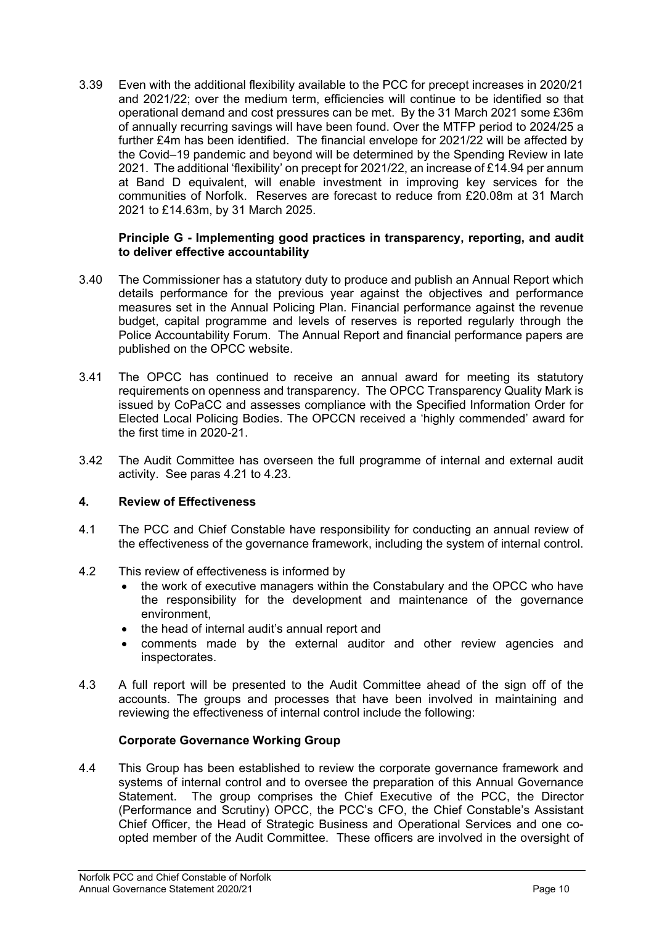3.39 Even with the additional flexibility available to the PCC for precept increases in 2020/21 and 2021/22; over the medium term, efficiencies will continue to be identified so that operational demand and cost pressures can be met. By the 31 March 2021 some £36m of annually recurring savings will have been found. Over the MTFP period to 2024/25 a further £4m has been identified. The financial envelope for 2021/22 will be affected by the Covid–19 pandemic and beyond will be determined by the Spending Review in late 2021. The additional 'flexibility' on precept for 2021/22, an increase of £14.94 per annum at Band D equivalent, will enable investment in improving key services for the communities of Norfolk. Reserves are forecast to reduce from £20.08m at 31 March 2021 to £14.63m, by 31 March 2025.

### **Principle G - Implementing good practices in transparency, reporting, and audit to deliver effective accountability**

- 3.40 The Commissioner has a statutory duty to produce and publish an Annual Report which details performance for the previous year against the objectives and performance measures set in the Annual Policing Plan. Financial performance against the revenue budget, capital programme and levels of reserves is reported regularly through the Police Accountability Forum. The Annual Report and financial performance papers are published on the OPCC website.
- 3.41 The OPCC has continued to receive an annual award for meeting its statutory requirements on openness and transparency. The OPCC Transparency Quality Mark is issued by CoPaCC and assesses compliance with the Specified Information Order for Elected Local Policing Bodies. The OPCCN received a 'highly commended' award for the first time in 2020-21.
- 3.42 The Audit Committee has overseen the full programme of internal and external audit activity. See paras 4.21 to 4.23.

### **4. Review of Effectiveness**

- 4.1 The PCC and Chief Constable have responsibility for conducting an annual review of the effectiveness of the governance framework, including the system of internal control.
- 4.2 This review of effectiveness is informed by
	- the work of executive managers within the Constabulary and the OPCC who have the responsibility for the development and maintenance of the governance environment,
	- the head of internal audit's annual report and
	- comments made by the external auditor and other review agencies and inspectorates.
- 4.3 A full report will be presented to the Audit Committee ahead of the sign off of the accounts. The groups and processes that have been involved in maintaining and reviewing the effectiveness of internal control include the following:

#### **Corporate Governance Working Group**

4.4 This Group has been established to review the corporate governance framework and systems of internal control and to oversee the preparation of this Annual Governance Statement. The group comprises the Chief Executive of the PCC, the Director (Performance and Scrutiny) OPCC, the PCC's CFO, the Chief Constable's Assistant Chief Officer, the Head of Strategic Business and Operational Services and one coopted member of the Audit Committee. These officers are involved in the oversight of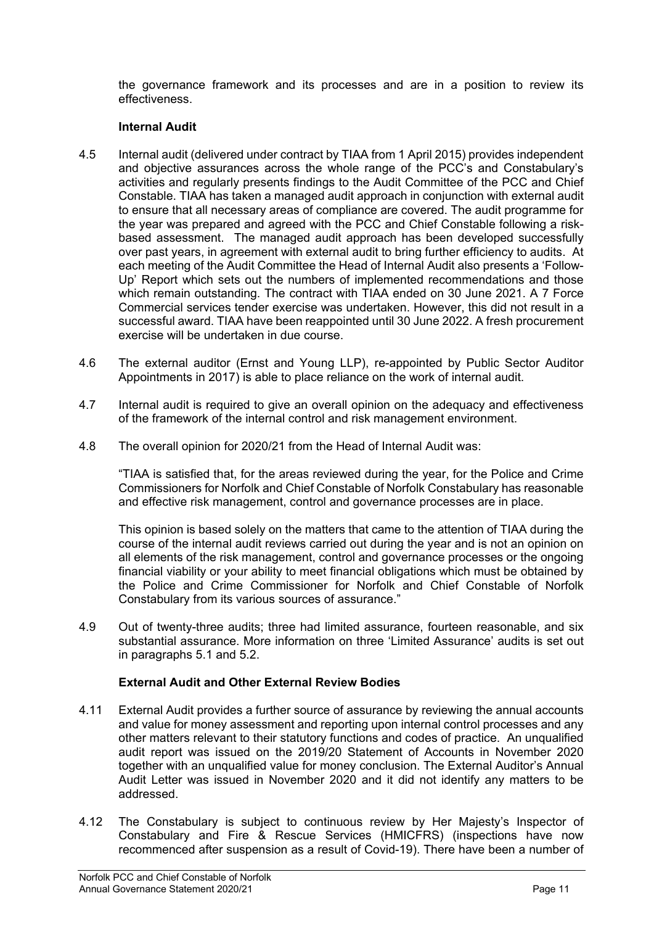the governance framework and its processes and are in a position to review its effectiveness.

## **Internal Audit**

- 4.5 Internal audit (delivered under contract by TIAA from 1 April 2015) provides independent and objective assurances across the whole range of the PCC's and Constabulary's activities and regularly presents findings to the Audit Committee of the PCC and Chief Constable. TIAA has taken a managed audit approach in conjunction with external audit to ensure that all necessary areas of compliance are covered. The audit programme for the year was prepared and agreed with the PCC and Chief Constable following a riskbased assessment. The managed audit approach has been developed successfully over past years, in agreement with external audit to bring further efficiency to audits. At each meeting of the Audit Committee the Head of Internal Audit also presents a 'Follow-Up' Report which sets out the numbers of implemented recommendations and those which remain outstanding. The contract with TIAA ended on 30 June 2021. A 7 Force Commercial services tender exercise was undertaken. However, this did not result in a successful award. TIAA have been reappointed until 30 June 2022. A fresh procurement exercise will be undertaken in due course.
- 4.6 The external auditor (Ernst and Young LLP), re-appointed by Public Sector Auditor Appointments in 2017) is able to place reliance on the work of internal audit.
- 4.7 Internal audit is required to give an overall opinion on the adequacy and effectiveness of the framework of the internal control and risk management environment.
- 4.8 The overall opinion for 2020/21 from the Head of Internal Audit was:

"TIAA is satisfied that, for the areas reviewed during the year, for the Police and Crime Commissioners for Norfolk and Chief Constable of Norfolk Constabulary has reasonable and effective risk management, control and governance processes are in place.

This opinion is based solely on the matters that came to the attention of TIAA during the course of the internal audit reviews carried out during the year and is not an opinion on all elements of the risk management, control and governance processes or the ongoing financial viability or your ability to meet financial obligations which must be obtained by the Police and Crime Commissioner for Norfolk and Chief Constable of Norfolk Constabulary from its various sources of assurance."

4.9 Out of twenty-three audits; three had limited assurance, fourteen reasonable, and six substantial assurance. More information on three 'Limited Assurance' audits is set out in paragraphs 5.1 and 5.2.

# **External Audit and Other External Review Bodies**

- 4.11 External Audit provides a further source of assurance by reviewing the annual accounts and value for money assessment and reporting upon internal control processes and any other matters relevant to their statutory functions and codes of practice. An unqualified audit report was issued on the 2019/20 Statement of Accounts in November 2020 together with an unqualified value for money conclusion. The External Auditor's Annual Audit Letter was issued in November 2020 and it did not identify any matters to be addressed.
- 4.12 The Constabulary is subject to continuous review by Her Majesty's Inspector of Constabulary and Fire & Rescue Services (HMICFRS) (inspections have now recommenced after suspension as a result of Covid-19). There have been a number of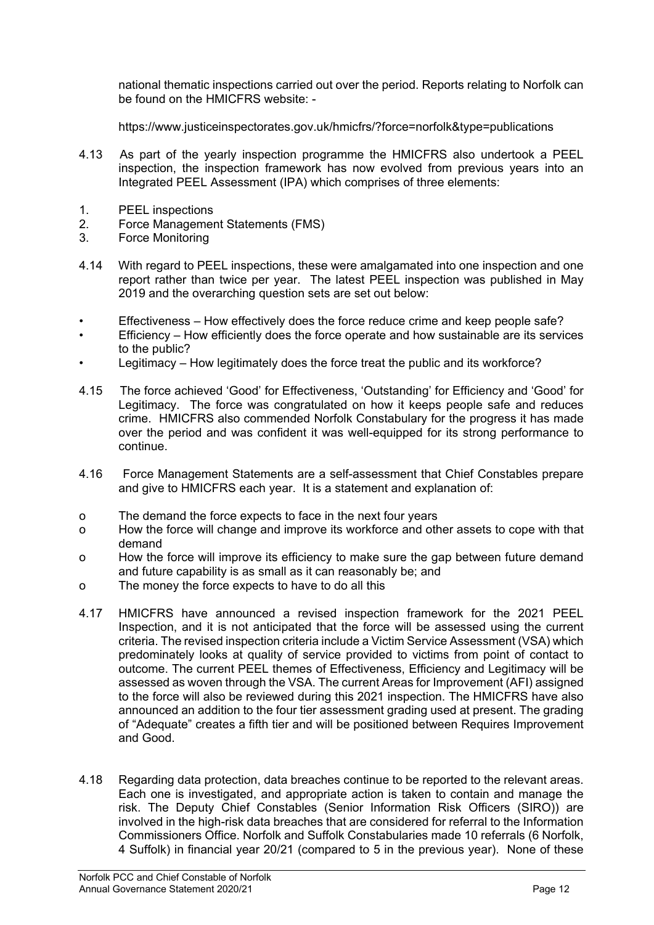national thematic inspections carried out over the period. Reports relating to Norfolk can be found on the HMICFRS website: -

https://www.justiceinspectorates.gov.uk/hmicfrs/?force=norfolk&type=publications

- 4.13 As part of the yearly inspection programme the HMICFRS also undertook a PEEL inspection, the inspection framework has now evolved from previous years into an Integrated PEEL Assessment (IPA) which comprises of three elements:
- 1. PEEL inspections<br>2. Force Managemer
- 2. Force Management Statements (FMS)
- 3. Force Monitoring
- 4.14 With regard to PEEL inspections, these were amalgamated into one inspection and one report rather than twice per year. The latest PEEL inspection was published in May 2019 and the overarching question sets are set out below:
- Effectiveness How effectively does the force reduce crime and keep people safe?
- Efficiency How efficiently does the force operate and how sustainable are its services to the public?
- Legitimacy How legitimately does the force treat the public and its workforce?
- 4.15 The force achieved 'Good' for Effectiveness, 'Outstanding' for Efficiency and 'Good' for Legitimacy. The force was congratulated on how it keeps people safe and reduces crime. HMICFRS also commended Norfolk Constabulary for the progress it has made over the period and was confident it was well-equipped for its strong performance to continue.
- 4.16 Force Management Statements are a self-assessment that Chief Constables prepare and give to HMICFRS each year. It is a statement and explanation of:
- o The demand the force expects to face in the next four years
- o How the force will change and improve its workforce and other assets to cope with that demand
- o How the force will improve its efficiency to make sure the gap between future demand and future capability is as small as it can reasonably be; and
- o The money the force expects to have to do all this
- 4.17 HMICFRS have announced a revised inspection framework for the 2021 PEEL Inspection, and it is not anticipated that the force will be assessed using the current criteria. The revised inspection criteria include a Victim Service Assessment (VSA) which predominately looks at quality of service provided to victims from point of contact to outcome. The current PEEL themes of Effectiveness, Efficiency and Legitimacy will be assessed as woven through the VSA. The current Areas for Improvement (AFI) assigned to the force will also be reviewed during this 2021 inspection. The HMICFRS have also announced an addition to the four tier assessment grading used at present. The grading of "Adequate" creates a fifth tier and will be positioned between Requires Improvement and Good.
- 4.18 Regarding data protection, data breaches continue to be reported to the relevant areas. Each one is investigated, and appropriate action is taken to contain and manage the risk. The Deputy Chief Constables (Senior Information Risk Officers (SIRO)) are involved in the high-risk data breaches that are considered for referral to the Information Commissioners Office. Norfolk and Suffolk Constabularies made 10 referrals (6 Norfolk, 4 Suffolk) in financial year 20/21 (compared to 5 in the previous year). None of these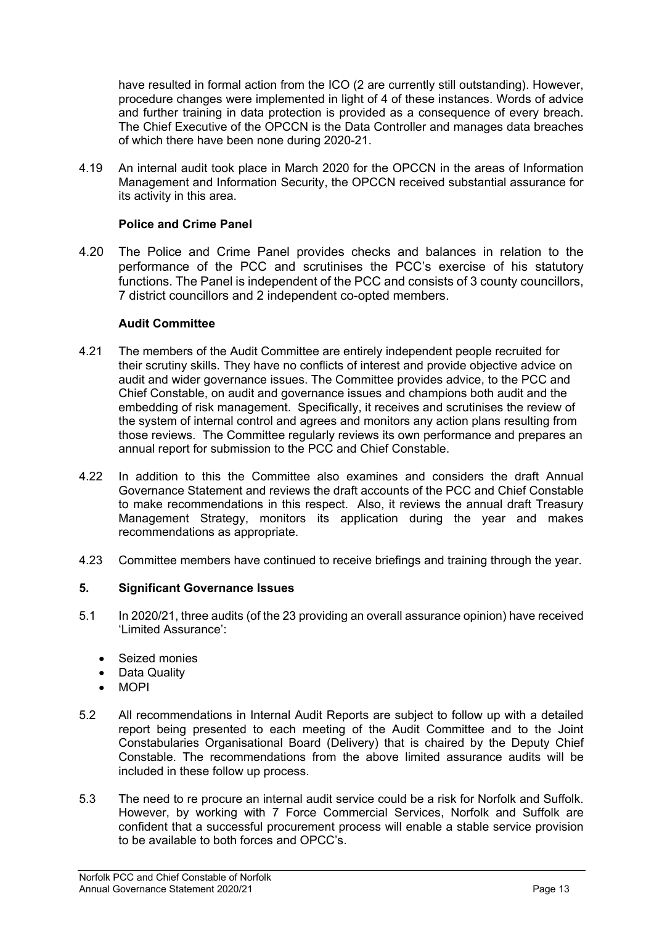have resulted in formal action from the ICO (2 are currently still outstanding). However, procedure changes were implemented in light of 4 of these instances. Words of advice and further training in data protection is provided as a consequence of every breach. The Chief Executive of the OPCCN is the Data Controller and manages data breaches of which there have been none during 2020-21.

4.19 An internal audit took place in March 2020 for the OPCCN in the areas of Information Management and Information Security, the OPCCN received substantial assurance for its activity in this area.

## **Police and Crime Panel**

4.20 The Police and Crime Panel provides checks and balances in relation to the performance of the PCC and scrutinises the PCC's exercise of his statutory functions. The Panel is independent of the PCC and consists of 3 county councillors, 7 district councillors and 2 independent co-opted members.

### **Audit Committee**

- 4.21 The members of the Audit Committee are entirely independent people recruited for their scrutiny skills. They have no conflicts of interest and provide objective advice on audit and wider governance issues. The Committee provides advice, to the PCC and Chief Constable, on audit and governance issues and champions both audit and the embedding of risk management. Specifically, it receives and scrutinises the review of the system of internal control and agrees and monitors any action plans resulting from those reviews. The Committee regularly reviews its own performance and prepares an annual report for submission to the PCC and Chief Constable.
- 4.22 In addition to this the Committee also examines and considers the draft Annual Governance Statement and reviews the draft accounts of the PCC and Chief Constable to make recommendations in this respect. Also, it reviews the annual draft Treasury Management Strategy, monitors its application during the year and makes recommendations as appropriate.
- 4.23 Committee members have continued to receive briefings and training through the year.

### **5. Significant Governance Issues**

- 5.1 In 2020/21, three audits (of the 23 providing an overall assurance opinion) have received 'Limited Assurance':
	- Seized monies
	- Data Quality
	- MOPI
- 5.2 All recommendations in Internal Audit Reports are subject to follow up with a detailed report being presented to each meeting of the Audit Committee and to the Joint Constabularies Organisational Board (Delivery) that is chaired by the Deputy Chief Constable. The recommendations from the above limited assurance audits will be included in these follow up process.
- 5.3 The need to re procure an internal audit service could be a risk for Norfolk and Suffolk. However, by working with 7 Force Commercial Services, Norfolk and Suffolk are confident that a successful procurement process will enable a stable service provision to be available to both forces and OPCC's.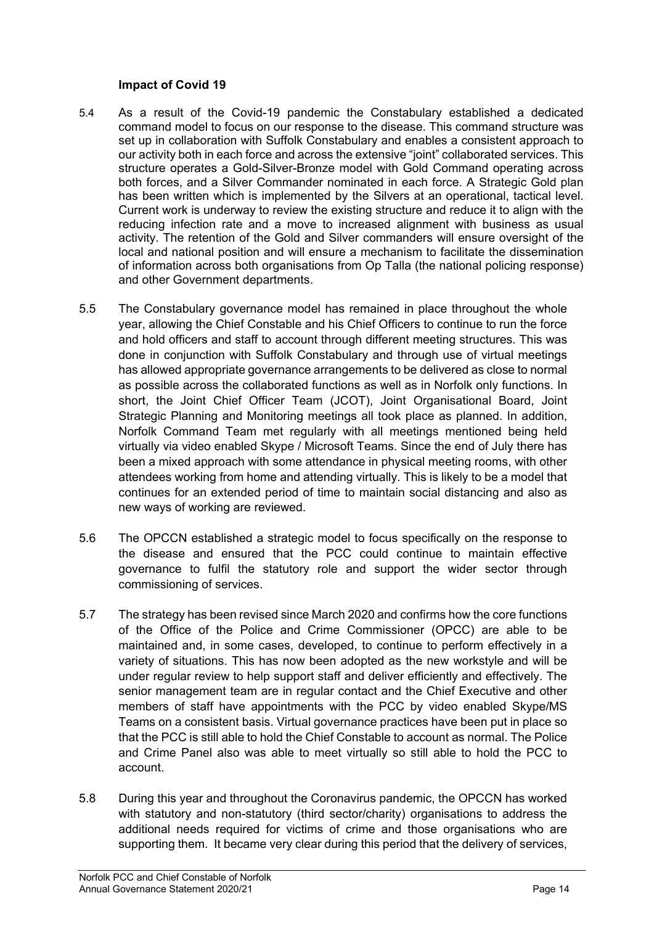### **Impact of Covid 19**

- 5.4 As a result of the Covid-19 pandemic the Constabulary established a dedicated command model to focus on our response to the disease. This command structure was set up in collaboration with Suffolk Constabulary and enables a consistent approach to our activity both in each force and across the extensive "joint" collaborated services. This structure operates a Gold-Silver-Bronze model with Gold Command operating across both forces, and a Silver Commander nominated in each force. A Strategic Gold plan has been written which is implemented by the Silvers at an operational, tactical level. Current work is underway to review the existing structure and reduce it to align with the reducing infection rate and a move to increased alignment with business as usual activity. The retention of the Gold and Silver commanders will ensure oversight of the local and national position and will ensure a mechanism to facilitate the dissemination of information across both organisations from Op Talla (the national policing response) and other Government departments.
- 5.5 The Constabulary governance model has remained in place throughout the whole year, allowing the Chief Constable and his Chief Officers to continue to run the force and hold officers and staff to account through different meeting structures. This was done in conjunction with Suffolk Constabulary and through use of virtual meetings has allowed appropriate governance arrangements to be delivered as close to normal as possible across the collaborated functions as well as in Norfolk only functions. In short, the Joint Chief Officer Team (JCOT), Joint Organisational Board, Joint Strategic Planning and Monitoring meetings all took place as planned. In addition, Norfolk Command Team met regularly with all meetings mentioned being held virtually via video enabled Skype / Microsoft Teams. Since the end of July there has been a mixed approach with some attendance in physical meeting rooms, with other attendees working from home and attending virtually. This is likely to be a model that continues for an extended period of time to maintain social distancing and also as new ways of working are reviewed.
- 5.6 The OPCCN established a strategic model to focus specifically on the response to the disease and ensured that the PCC could continue to maintain effective governance to fulfil the statutory role and support the wider sector through commissioning of services.
- 5.7 The strategy has been revised since March 2020 and confirms how the core functions of the Office of the Police and Crime Commissioner (OPCC) are able to be maintained and, in some cases, developed, to continue to perform effectively in a variety of situations. This has now been adopted as the new workstyle and will be under regular review to help support staff and deliver efficiently and effectively. The senior management team are in regular contact and the Chief Executive and other members of staff have appointments with the PCC by video enabled Skype/MS Teams on a consistent basis. Virtual governance practices have been put in place so that the PCC is still able to hold the Chief Constable to account as normal. The Police and Crime Panel also was able to meet virtually so still able to hold the PCC to account.
- 5.8 During this year and throughout the Coronavirus pandemic, the OPCCN has worked with statutory and non-statutory (third sector/charity) organisations to address the additional needs required for victims of crime and those organisations who are supporting them. It became very clear during this period that the delivery of services,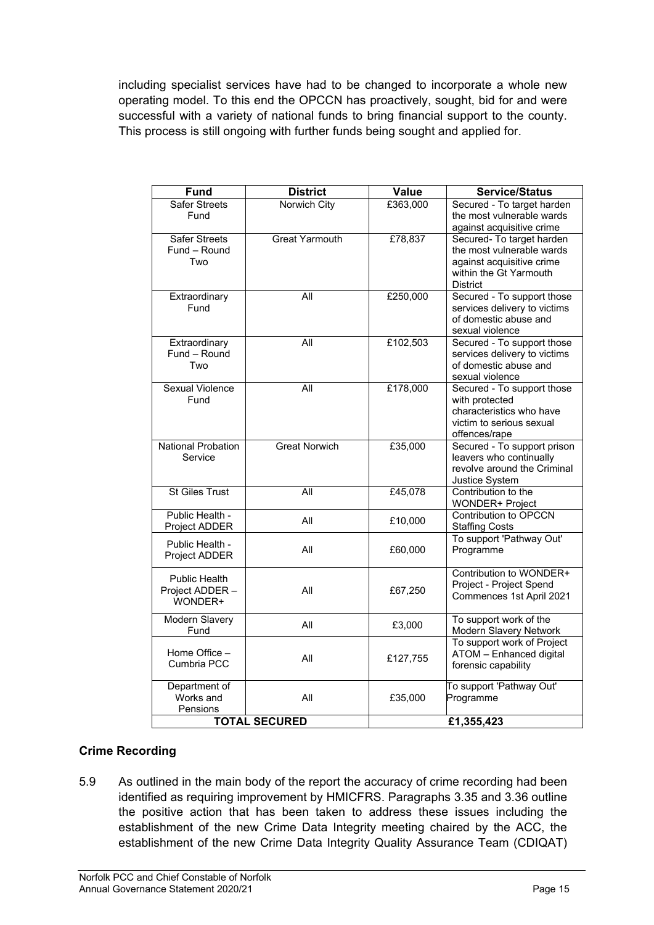including specialist services have had to be changed to incorporate a whole new operating model. To this end the OPCCN has proactively, sought, bid for and were successful with a variety of national funds to bring financial support to the county. This process is still ongoing with further funds being sought and applied for.

| <b>Fund</b>               | <b>District</b>       | <b>Value</b> | <b>Service/Status</b>                                |
|---------------------------|-----------------------|--------------|------------------------------------------------------|
| <b>Safer Streets</b>      | Norwich City          | £363,000     | Secured - To target harden                           |
| Fund                      |                       |              | the most vulnerable wards                            |
|                           |                       |              | against acquisitive crime                            |
| <b>Safer Streets</b>      | <b>Great Yarmouth</b> | £78,837      | Secured- To target harden                            |
| Fund - Round              |                       |              | the most vulnerable wards                            |
| Two                       |                       |              | against acquisitive crime                            |
|                           |                       |              | within the Gt Yarmouth<br><b>District</b>            |
| Extraordinary             | $\overline{All}$      | £250,000     | Secured - To support those                           |
| Fund                      |                       |              | services delivery to victims                         |
|                           |                       |              | of domestic abuse and                                |
|                           |                       |              | sexual violence                                      |
| Extraordinary             | All                   | £102,503     | Secured - To support those                           |
| Fund - Round              |                       |              | services delivery to victims                         |
| Two                       |                       |              | of domestic abuse and                                |
|                           |                       |              | sexual violence                                      |
| <b>Sexual Violence</b>    | $\overline{All}$      | £178,000     | Secured - To support those                           |
| Fund                      |                       |              | with protected<br>characteristics who have           |
|                           |                       |              | victim to serious sexual                             |
|                           |                       |              | offences/rape                                        |
| <b>National Probation</b> | <b>Great Norwich</b>  | £35,000      | Secured - To support prison                          |
| Service                   |                       |              | leavers who continually                              |
|                           |                       |              | revolve around the Criminal                          |
|                           |                       |              | Justice System                                       |
| <b>St Giles Trust</b>     | All                   | £45,078      | Contribution to the                                  |
|                           |                       |              | WONDER+ Project                                      |
| Public Health -           | All                   | £10,000      | <b>Contribution to OPCCN</b>                         |
| Project ADDER             |                       |              | <b>Staffing Costs</b><br>To support 'Pathway Out'    |
| Public Health -           | All                   | £60,000      | Programme                                            |
| Project ADDER             |                       |              |                                                      |
| <b>Public Health</b>      |                       |              | Contribution to WONDER+                              |
| Project ADDER -           | All                   | £67,250      | Project - Project Spend                              |
| WONDER+                   |                       |              | Commences 1st April 2021                             |
|                           |                       |              |                                                      |
| <b>Modern Slavery</b>     | All                   | £3,000       | To support work of the                               |
| Fund                      |                       |              | Modern Slavery Network<br>To support work of Project |
| Home Office -             |                       |              | ATOM - Enhanced digital                              |
| Cumbria PCC               | All                   | £127,755     | forensic capability                                  |
|                           |                       |              |                                                      |
| Department of             |                       |              | To support 'Pathway Out'                             |
| Works and                 | All                   | £35,000      | Programme                                            |
| Pensions                  |                       |              |                                                      |
| <b>TOTAL SECURED</b>      |                       | £1,355,423   |                                                      |

# **Crime Recording**

5.9 As outlined in the main body of the report the accuracy of crime recording had been identified as requiring improvement by HMICFRS. Paragraphs 3.35 and 3.36 outline the positive action that has been taken to address these issues including the establishment of the new Crime Data Integrity meeting chaired by the ACC, the establishment of the new Crime Data Integrity Quality Assurance Team (CDIQAT)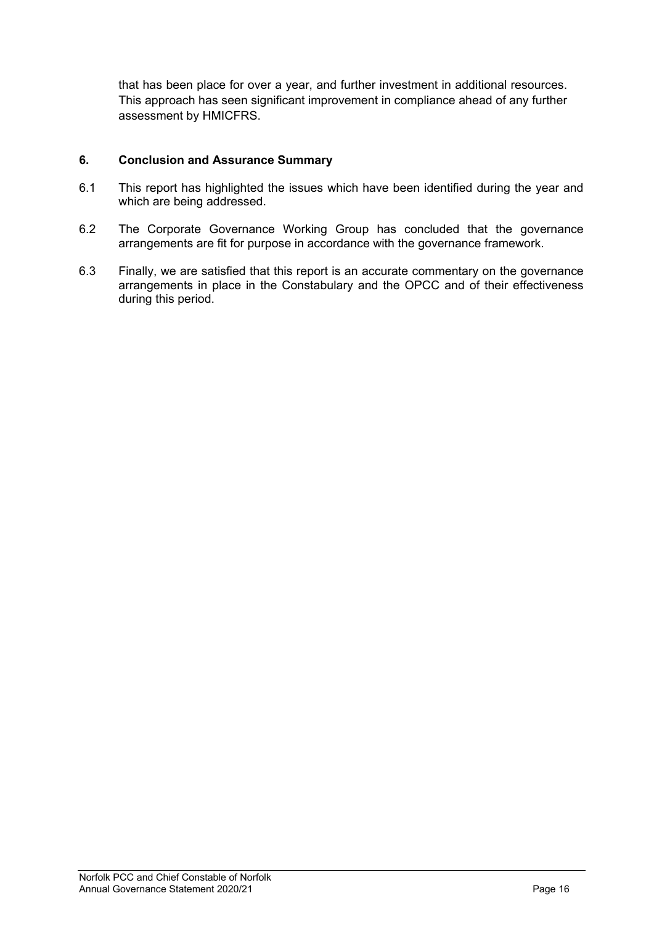that has been place for over a year, and further investment in additional resources. This approach has seen significant improvement in compliance ahead of any further assessment by HMICFRS.

# **6. Conclusion and Assurance Summary**

- 6.1 This report has highlighted the issues which have been identified during the year and which are being addressed.
- 6.2 The Corporate Governance Working Group has concluded that the governance arrangements are fit for purpose in accordance with the governance framework.
- 6.3 Finally, we are satisfied that this report is an accurate commentary on the governance arrangements in place in the Constabulary and the OPCC and of their effectiveness during this period.